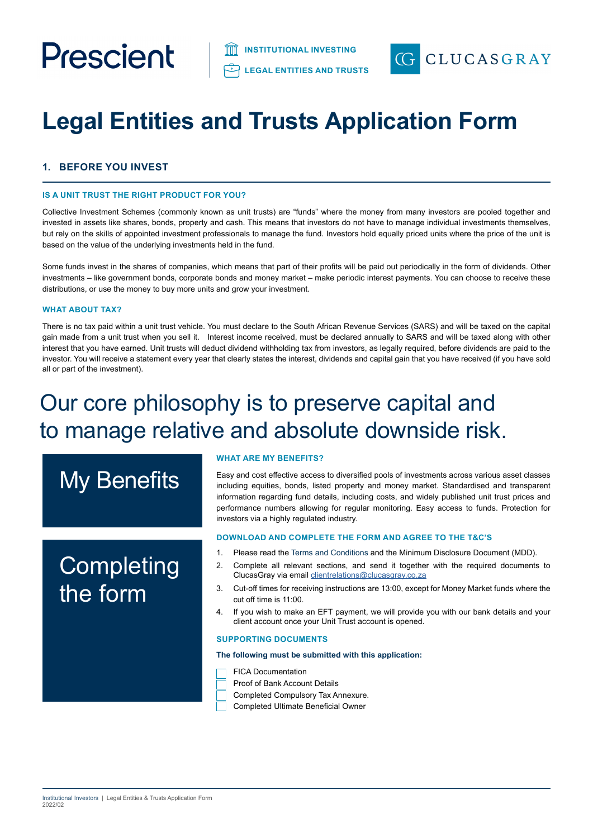

# **1. BEFORE YOU INVEST**

#### **IS A UNIT TRUST THE RIGHT PRODUCT FOR YOU?**

Collective Investment Schemes (commonly known as unit trusts) are "funds" where the money from many investors are pooled together and invested in assets like shares, bonds, property and cash. This means that investors do not have to manage individual investments themselves, but rely on the skills of appointed investment professionals to manage the fund. Investors hold equally priced units where the price of the unit is based on the value of the underlying investments held in the fund.

Some funds invest in the shares of companies, which means that part of their profits will be paid out periodically in the form of dividends. Other investments – like government bonds, corporate bonds and money market – make periodic interest payments. You can choose to receive these distributions, or use the money to buy more units and grow your investment.

### **WHAT ABOUT TAX?**

There is no tax paid within a unit trust vehicle. You must declare to the South African Revenue Services (SARS) and will be taxed on the capital gain made from a unit trust when you sell it. Interest income received, must be declared annually to SARS and will be taxed along with other interest that you have earned. Unit trusts will deduct dividend withholding tax from investors, as legally required, before dividends are paid to the investor. You will receive a statement every year that clearly states the interest, dividends and capital gain that you have received (if you have sold all or part of the investment).

# Our core philosophy is to preserve capital and to manage relative and absolute downside risk.

My Benefits

# **Completing** the form

# **WHAT ARE MY BENEFITS?**

Easy and cost effective access to diversified pools of investments across various asset classes including equities, bonds, listed property and money market. Standardised and transparent information regarding fund details, including costs, and widely published unit trust prices and performance numbers allowing for regular monitoring. Easy access to funds. Protection for investors via a highly regulated industry.

CLUCASGRAY

#### **DOWNLOAD AND COMPLETE THE FORM AND AGREE TO THE T&C'S**

- 1. Please read the Terms and Conditions and the Minimum Disclosure Document (MDD).
- 2. Complete all relevant sections, and send it together with the required documents to ClucasGray via email [clientrelations@clucasgray.co.za](mailto:clientrelations%40clucasgray.co.za?subject=ClucasGray%20Legal%20Entities%20%26%20Trusts%20Application%20Form)
- 3. Cut-off times for receiving instructions are 13:00, except for Money Market funds where the cut off time is 11:00.
- 4. If you wish to make an EFT payment, we will provide you with our bank details and your client account once your Unit Trust account is opened.

# **SUPPORTING DOCUMENTS**

#### **The following must be submitted with this application:**

- FICA Documentation
- Proof of Bank Account Details
- Completed Compulsory Tax Annexure.
- Completed Ultimate Beneficial Owner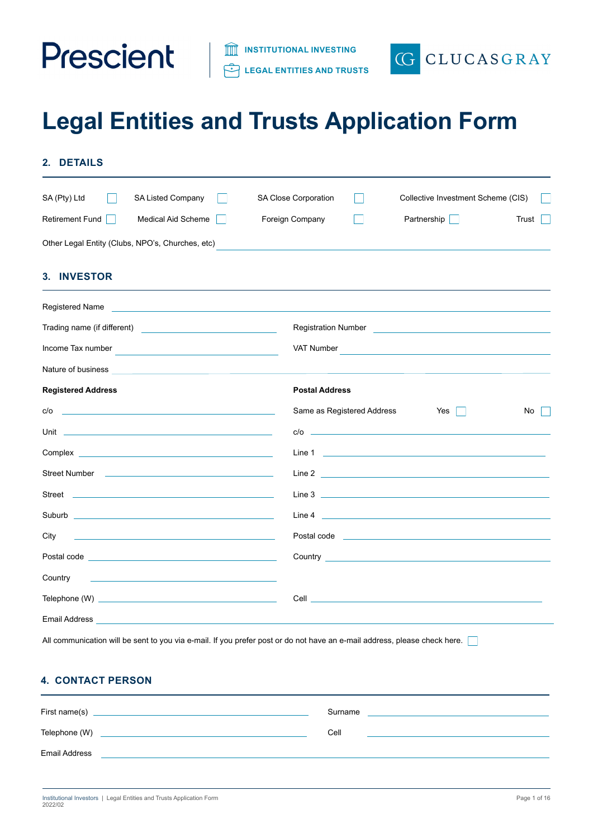



# **Legal Entities and Trusts Application Form**

| SA (Pty) Ltd<br>SA Listed Company                                                                                                                                                                                                    | SA Close Corporation<br>Collective Investment Scheme (CIS)                                                                                                                                                                           |
|--------------------------------------------------------------------------------------------------------------------------------------------------------------------------------------------------------------------------------------|--------------------------------------------------------------------------------------------------------------------------------------------------------------------------------------------------------------------------------------|
| Retirement Fund<br>Medical Aid Scheme                                                                                                                                                                                                | Foreign Company<br>Partnership    <br>Trust                                                                                                                                                                                          |
| Other Legal Entity (Clubs, NPO's, Churches, etc)                                                                                                                                                                                     |                                                                                                                                                                                                                                      |
| 3. INVESTOR                                                                                                                                                                                                                          |                                                                                                                                                                                                                                      |
| Registered Name The Commission of the Commission of the Commission of the Commission of the Commission of the C                                                                                                                      |                                                                                                                                                                                                                                      |
| Trading name (if different) <u>__________________________________</u>                                                                                                                                                                |                                                                                                                                                                                                                                      |
| Income Tax number<br><u> 1980 - Johann Barn, mars an t-Amerikaansk politiker (</u>                                                                                                                                                   | VAT Number <b>Andrew Account Contract Contract Contract Contract Contract Contract Contract Contract Contract Contract Contract Contract Contract Contract Contract Contract Contract Contract Contract Contract Contract Contra</b> |
|                                                                                                                                                                                                                                      |                                                                                                                                                                                                                                      |
| <b>Registered Address</b>                                                                                                                                                                                                            | <b>Postal Address</b>                                                                                                                                                                                                                |
| c/o                                                                                                                                                                                                                                  | Same as Registered Address<br>Yes<br>No                                                                                                                                                                                              |
|                                                                                                                                                                                                                                      |                                                                                                                                                                                                                                      |
|                                                                                                                                                                                                                                      |                                                                                                                                                                                                                                      |
|                                                                                                                                                                                                                                      | Line 2 and 2 and 2 and 2 and 2 and 2 and 2 and 2 and 2 and 2 and 2 and 2 and 2 and 2 and 2 and 2 and 2 and 2 and 2                                                                                                                   |
| Street <b>Executive Contract Contract Contract Contract Contract Contract Contract Contract Contract Contract Contract Contract Contract Contract Contract Contract Contract Contract Contract Contract Contract Contract Contra</b> |                                                                                                                                                                                                                                      |
|                                                                                                                                                                                                                                      |                                                                                                                                                                                                                                      |
| City                                                                                                                                                                                                                                 |                                                                                                                                                                                                                                      |
|                                                                                                                                                                                                                                      | Country <u>Country</u>                                                                                                                                                                                                               |
| Country                                                                                                                                                                                                                              |                                                                                                                                                                                                                                      |
|                                                                                                                                                                                                                                      | Cell                                                                                                                                                                                                                                 |
| Email Address <b>Email Address</b>                                                                                                                                                                                                   |                                                                                                                                                                                                                                      |
|                                                                                                                                                                                                                                      | All communication will be sent to you via e-mail. If you prefer post or do not have an e-mail address, please check here.                                                                                                            |
|                                                                                                                                                                                                                                      |                                                                                                                                                                                                                                      |

| First name(s) | Surname |  |
|---------------|---------|--|
|               |         |  |
| Telephone (W) | Cell    |  |
|               |         |  |
| Email Address |         |  |
|               |         |  |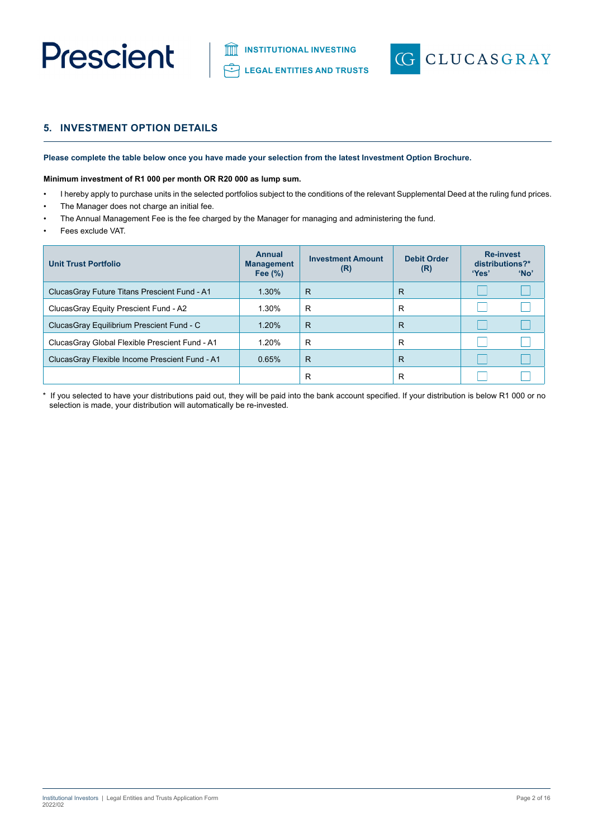

# **5. INVESTMENT OPTION DETAILS**

# **Please complete the table below once you have made your selection from the latest Investment Option Brochure.**

#### **Minimum investment of R1 000 per month OR R20 000 as lump sum.**

- I hereby apply to purchase units in the selected portfolios subject to the conditions of the relevant Supplemental Deed at the ruling fund prices.
- The Manager does not charge an initial fee.
- The Annual Management Fee is the fee charged by the Manager for managing and administering the fund.
- Fees exclude VAT.

| <b>Unit Trust Portfolio</b>                     | <b>Annual</b><br><b>Management</b><br>Fee $(\%)$ | <b>Investment Amount</b><br>(R) | <b>Debit Order</b><br>(R) | <b>Re-invest</b><br>distributions?*<br>'Yes' | 'No |
|-------------------------------------------------|--------------------------------------------------|---------------------------------|---------------------------|----------------------------------------------|-----|
| Clucas Gray Future Titans Prescient Fund - A1   | 1.30%                                            | R                               | R                         |                                              |     |
| Clucas Gray Equity Prescient Fund - A2          | 1.30%                                            | R                               | R                         |                                              |     |
| ClucasGray Equilibrium Prescient Fund - C       | 1.20%                                            | $\mathsf{R}$                    | R                         |                                              |     |
| ClucasGray Global Flexible Prescient Fund - A1  | 1.20%                                            | R                               | R                         |                                              |     |
| Clucas Gray Flexible Income Prescient Fund - A1 | 0.65%                                            | R                               | R                         |                                              |     |
|                                                 |                                                  | R                               | R                         |                                              |     |

\* If you selected to have your distributions paid out, they will be paid into the bank account specified. If your distribution is below R1 000 or no selection is made, your distribution will automatically be re-invested.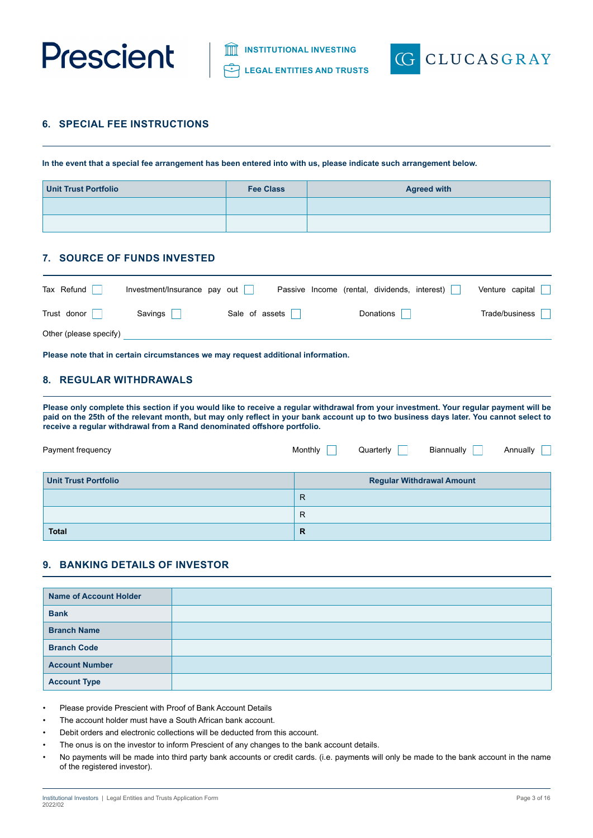



# **6. SPECIAL FEE INSTRUCTIONS**

**In the event that a special fee arrangement has been entered into with us, please indicate such arrangement below.**

| Unit Trust Portfolio | <b>Fee Class</b> | <b>Agreed with</b> |
|----------------------|------------------|--------------------|
|                      |                  |                    |
|                      |                  |                    |

# **7. SOURCE OF FUNDS INVESTED**

| Tax Refund             | Investment/Insurance pay out |                | Passive Income (rental, dividends, interest) | Venture capital |
|------------------------|------------------------------|----------------|----------------------------------------------|-----------------|
| Trust donor            | Savings                      | Sale of assets | Donations                                    | Trade/business  |
| Other (please specify) |                              |                |                                              |                 |

**Please note that in certain circumstances we may request additional information.**

# **8. REGULAR WITHDRAWALS**

**Please only complete this section if you would like to receive a regular withdrawal from your investment. Your regular payment will be paid on the 25th of the relevant month, but may only reflect in your bank account up to two business days later. You cannot select to receive a regular withdrawal from a Rand denominated offshore portfolio.**

| Payment frequency           | Monthly      | Quarterly | Biannually                       | Annually |
|-----------------------------|--------------|-----------|----------------------------------|----------|
| <b>Unit Trust Portfolio</b> |              |           | <b>Regular Withdrawal Amount</b> |          |
|                             | $\mathsf{R}$ |           |                                  |          |
|                             | R            |           |                                  |          |
| <b>Total</b>                | $\mathsf{R}$ |           |                                  |          |

# **9. BANKING DETAILS OF INVESTOR**

| <b>Name of Account Holder</b> |  |
|-------------------------------|--|
| <b>Bank</b>                   |  |
| <b>Branch Name</b>            |  |
| <b>Branch Code</b>            |  |
| <b>Account Number</b>         |  |
| <b>Account Type</b>           |  |

• Please provide Prescient with Proof of Bank Account Details

The account holder must have a South African bank account.

- Debit orders and electronic collections will be deducted from this account.
- The onus is on the investor to inform Prescient of any changes to the bank account details.
- No payments will be made into third party bank accounts or credit cards. (i.e. payments will only be made to the bank account in the name of the registered investor).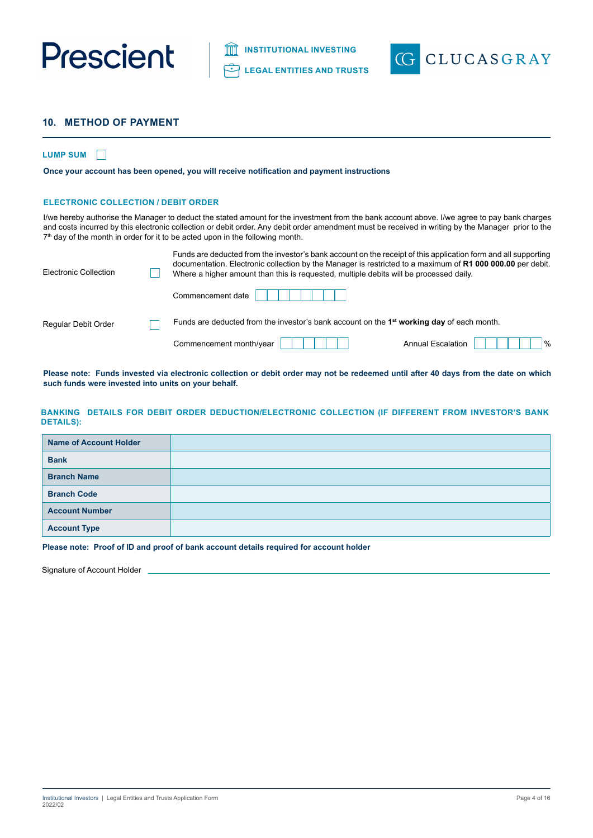



# **10. METHOD OF PAYMENT**

# **LUMP SUM**

**Once your account has been opened, you will receive notification and payment instructions**

### **ELECTRONIC COLLECTION / DEBIT ORDER**

I/we hereby authorise the Manager to deduct the stated amount for the investment from the bank account above. I/we agree to pay bank charges and costs incurred by this electronic collection or debit order. Any debit order amendment must be received in writing by the Manager prior to the  $7<sup>th</sup>$  day of the month in order for it to be acted upon in the following month.

| Electronic Collection | Funds are deducted from the investor's bank account on the receipt of this application form and all supporting<br>documentation. Electronic collection by the Manager is restricted to a maximum of R1 000 000.00 per debit.<br>Where a higher amount than this is requested, multiple debits will be processed daily. |                                           |
|-----------------------|------------------------------------------------------------------------------------------------------------------------------------------------------------------------------------------------------------------------------------------------------------------------------------------------------------------------|-------------------------------------------|
|                       | Commencement date                                                                                                                                                                                                                                                                                                      |                                           |
| Regular Debit Order   | Funds are deducted from the investor's bank account on the 1 <sup>st</sup> working day of each month.                                                                                                                                                                                                                  |                                           |
|                       | Commencement month/year                                                                                                                                                                                                                                                                                                | $\frac{1}{6}$<br><b>Annual Escalation</b> |

**Please note: Funds invested via electronic collection or debit order may not be redeemed until after 40 days from the date on which such funds were invested into units on your behalf.**

## **BANKING DETAILS FOR DEBIT ORDER DEDUCTION/ELECTRONIC COLLECTION (IF DIFFERENT FROM INVESTOR'S BANK DETAILS):**

| <b>Name of Account Holder</b> |  |
|-------------------------------|--|
| <b>Bank</b>                   |  |
| <b>Branch Name</b>            |  |
| <b>Branch Code</b>            |  |
| <b>Account Number</b>         |  |
| <b>Account Type</b>           |  |

**Please note: Proof of ID and proof of bank account details required for account holder**

Signature of Account Holder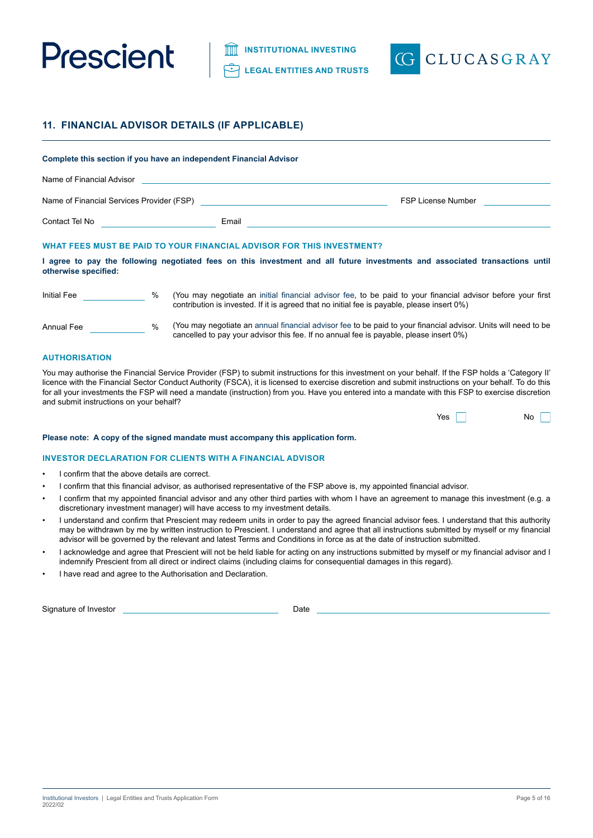



# **11. FINANCIAL ADVISOR DETAILS (IF APPLICABLE)**

# **Complete this section if you have an independent Financial Advisor** Name of Financial Advisor Name of Financial Services Provider (FSP) FSP License Number Contact Tel No **Email** (You may negotiate an initial financial advisor fee, to be paid to your financial advisor before your first contribution is invested. If it is agreed that no initial fee is payable, please insert 0%) (You may negotiate an annual financial advisor fee to be paid to your financial advisor. Units will need to be cancelled to pay your advisor this fee. If no annual fee is payable, please insert 0%) Initial Fee % Annual Fee % **WHAT FEES MUST BE PAID TO YOUR FINANCIAL ADVISOR FOR THIS INVESTMENT? I agree to pay the following negotiated fees on this investment and all future investments and associated transactions until otherwise specified:**

### **AUTHORISATION**

You may authorise the Financial Service Provider (FSP) to submit instructions for this investment on your behalf. If the FSP holds a 'Category II' licence with the Financial Sector Conduct Authority (FSCA), it is licensed to exercise discretion and submit instructions on your behalf. To do this for all your investments the FSP will need a mandate (instruction) from you. Have you entered into a mandate with this FSP to exercise discretion and submit instructions on your behalf?

| <b>Yes</b> |  | No |  |
|------------|--|----|--|
|            |  |    |  |

#### **Please note: A copy of the signed mandate must accompany this application form.**

#### **INVESTOR DECLARATION FOR CLIENTS WITH A FINANCIAL ADVISOR**

- I confirm that the above details are correct.
- I confirm that this financial advisor, as authorised representative of the FSP above is, my appointed financial advisor.
- I confirm that my appointed financial advisor and any other third parties with whom I have an agreement to manage this investment (e.g. a discretionary investment manager) will have access to my investment details.
- I understand and confirm that Prescient may redeem units in order to pay the agreed financial advisor fees. I understand that this authority may be withdrawn by me by written instruction to Prescient. I understand and agree that all instructions submitted by myself or my financial advisor will be governed by the relevant and latest Terms and Conditions in force as at the date of instruction submitted.
- I acknowledge and agree that Prescient will not be held liable for acting on any instructions submitted by myself or my financial advisor and I indemnify Prescient from all direct or indirect claims (including claims for consequential damages in this regard).
- I have read and agree to the Authorisation and Declaration.

Signature of Investor **Date**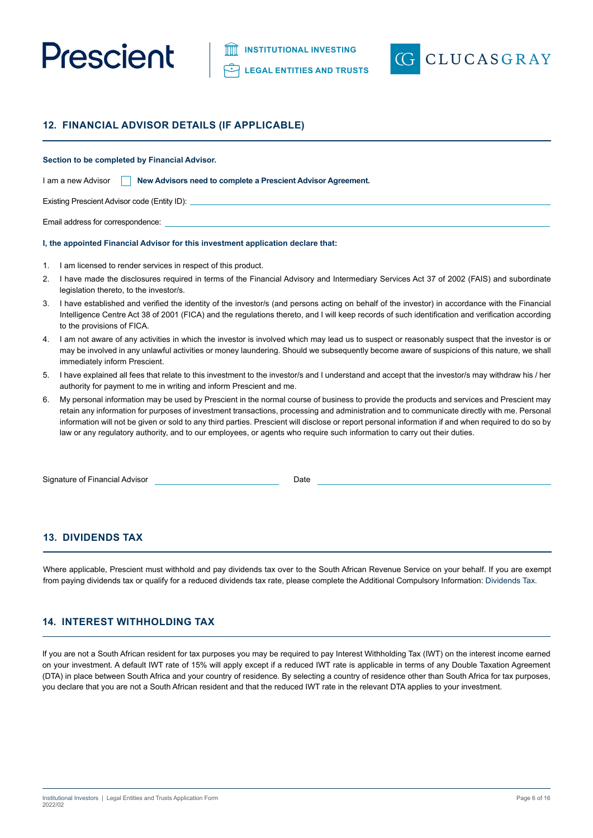



# **12. FINANCIAL ADVISOR DETAILS (IF APPLICABLE)**

#### **Section to be completed by Financial Advisor.**

| I am a new Advisor                           | New Advisors need to complete a Prescient Advisor Agreement. |
|----------------------------------------------|--------------------------------------------------------------|
| Existing Prescient Advisor code (Entity ID): |                                                              |
| Email address for correspondence:            |                                                              |

### **I, the appointed Financial Advisor for this investment application declare that:**

- 1. I am licensed to render services in respect of this product.
- 2. I have made the disclosures required in terms of the Financial Advisory and Intermediary Services Act 37 of 2002 (FAIS) and subordinate legislation thereto, to the investor/s.
- 3. I have established and verified the identity of the investor/s (and persons acting on behalf of the investor) in accordance with the Financial Intelligence Centre Act 38 of 2001 (FICA) and the regulations thereto, and I will keep records of such identification and verification according to the provisions of FICA.
- 4. I am not aware of any activities in which the investor is involved which may lead us to suspect or reasonably suspect that the investor is or may be involved in any unlawful activities or money laundering. Should we subsequently become aware of suspicions of this nature, we shall immediately inform Prescient.
- 5. I have explained all fees that relate to this investment to the investor/s and I understand and accept that the investor/s may withdraw his / her authority for payment to me in writing and inform Prescient and me.
- 6. My personal information may be used by Prescient in the normal course of business to provide the products and services and Prescient may retain any information for purposes of investment transactions, processing and administration and to communicate directly with me. Personal information will not be given or sold to any third parties. Prescient will disclose or report personal information if and when required to do so by law or any regulatory authority, and to our employees, or agents who require such information to carry out their duties.

Signature of Financial Advisor **Date** Date

# **13. DIVIDENDS TAX**

Where applicable, Prescient must withhold and pay dividends tax over to the South African Revenue Service on your behalf. If you are exempt from paying dividends tax or qualify for a reduced dividends tax rate, please complete the Additional Compulsory Information: Dividends Tax.

# **14. INTEREST WITHHOLDING TAX**

If you are not a South African resident for tax purposes you may be required to pay Interest Withholding Tax (IWT) on the interest income earned on your investment. A default IWT rate of 15% will apply except if a reduced IWT rate is applicable in terms of any Double Taxation Agreement (DTA) in place between South Africa and your country of residence. By selecting a country of residence other than South Africa for tax purposes, you declare that you are not a South African resident and that the reduced IWT rate in the relevant DTA applies to your investment.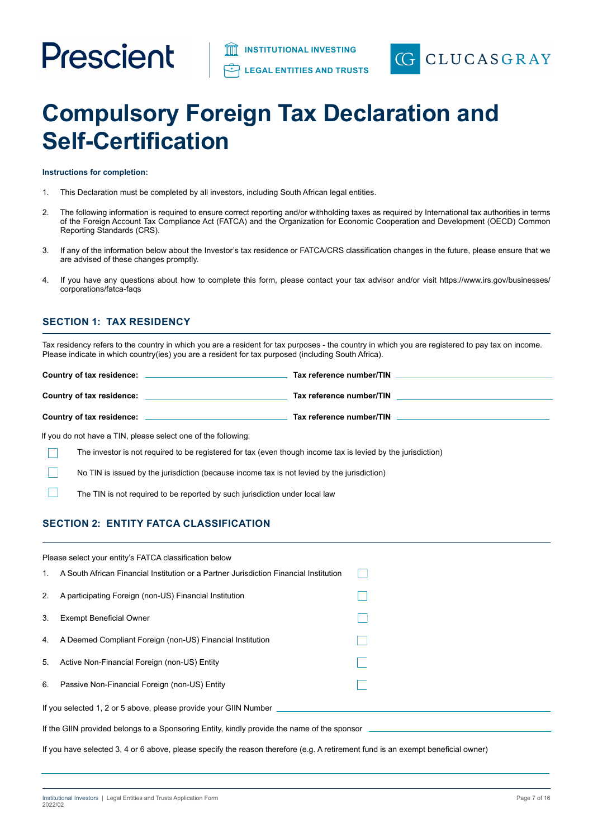

# **Compulsory Foreign Tax Declaration and Self-Certification**

**Instructions for completion:**

- 1. This Declaration must be completed by all investors, including South African legal entities.
- 2. The following information is required to ensure correct reporting and/or withholding taxes as required by International tax authorities in terms of the Foreign Account Tax Compliance Act (FATCA) and the Organization for Economic Cooperation and Development (OECD) Common Reporting Standards (CRS).
- 3. If any of the information below about the Investor's tax residence or FATCA/CRS classification changes in the future, please ensure that we are advised of these changes promptly.
- 4. If you have any questions about how to complete this form, please contact your tax advisor and/or visit https://www.irs.gov/businesses/ corporations/fatca-faqs

# **SECTION 1: TAX RESIDENCY**

Tax residency refers to the country in which you are a resident for tax purposes - the country in which you are registered to pay tax on income. Please indicate in which country(ies) you are a resident for tax purposed (including South Africa).

|                                                                                                                                                     | Tax reference number/TIN |  |
|-----------------------------------------------------------------------------------------------------------------------------------------------------|--------------------------|--|
| Country of tax residence:                                                                                                                           | Tax reference number/TIN |  |
| Country of tax residence:<br><u> 1989 - Johann John Stone, markin film yn y brening yn y brening yn y brening yn y brening yn y brening yn y br</u> | Tax reference number/TIN |  |
| If you do not have a TIN, please select one of the following:                                                                                       |                          |  |

The investor is not required to be registered for tax (even though income tax is levied by the jurisdiction)

 $\Box$ No TIN is issued by the jurisdiction (because income tax is not levied by the jurisdiction)

The TIN is not required to be reported by such jurisdiction under local law

# **SECTION 2: ENTITY FATCA CLASSIFICATION**

| Please select your entity's FATCA classification below                                      |                                                                                       |  |  |
|---------------------------------------------------------------------------------------------|---------------------------------------------------------------------------------------|--|--|
| 1.                                                                                          | A South African Financial Institution or a Partner Jurisdiction Financial Institution |  |  |
| 2.                                                                                          | A participating Foreign (non-US) Financial Institution                                |  |  |
| 3.                                                                                          | <b>Exempt Beneficial Owner</b>                                                        |  |  |
| 4.                                                                                          | A Deemed Compliant Foreign (non-US) Financial Institution                             |  |  |
| 5.                                                                                          | Active Non-Financial Foreign (non-US) Entity                                          |  |  |
| 6.                                                                                          | Passive Non-Financial Foreign (non-US) Entity                                         |  |  |
| If you selected 1, 2 or 5 above, please provide your GIIN Number                            |                                                                                       |  |  |
| If the GIIN provided belongs to a Sponsoring Entity, kindly provide the name of the sponsor |                                                                                       |  |  |
|                                                                                             |                                                                                       |  |  |

If you have selected 3, 4 or 6 above, please specify the reason therefore (e.g. A retirement fund is an exempt beneficial owner)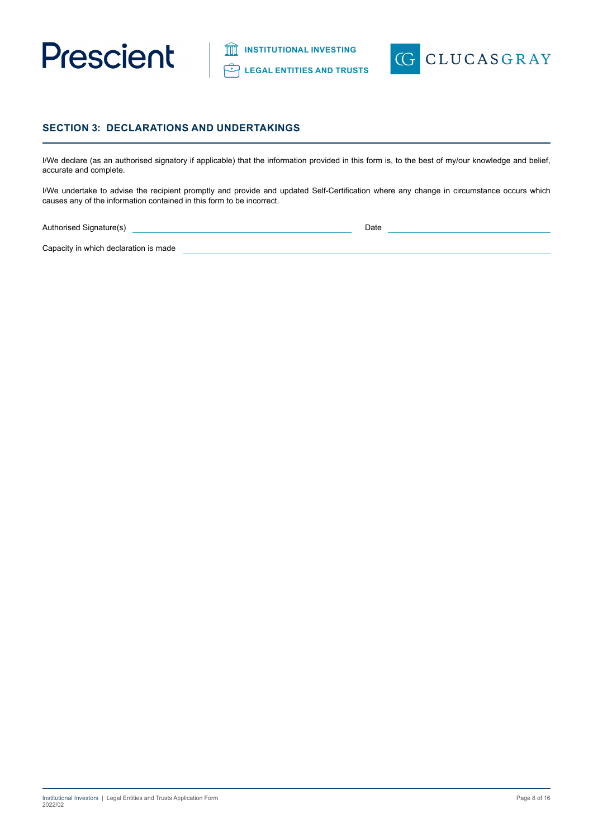



# **SECTION 3: DECLARATIONS AND UNDERTAKINGS**

I/We declare (as an authorised signatory if applicable) that the information provided in this form is, to the best of my/our knowledge and belief, accurate and complete.

I/We undertake to advise the recipient promptly and provide and updated Self-Certification where any change in circumstance occurs which causes any of the information contained in this form to be incorrect.

Authorised Signature(s) Date

Capacity in which declaration is made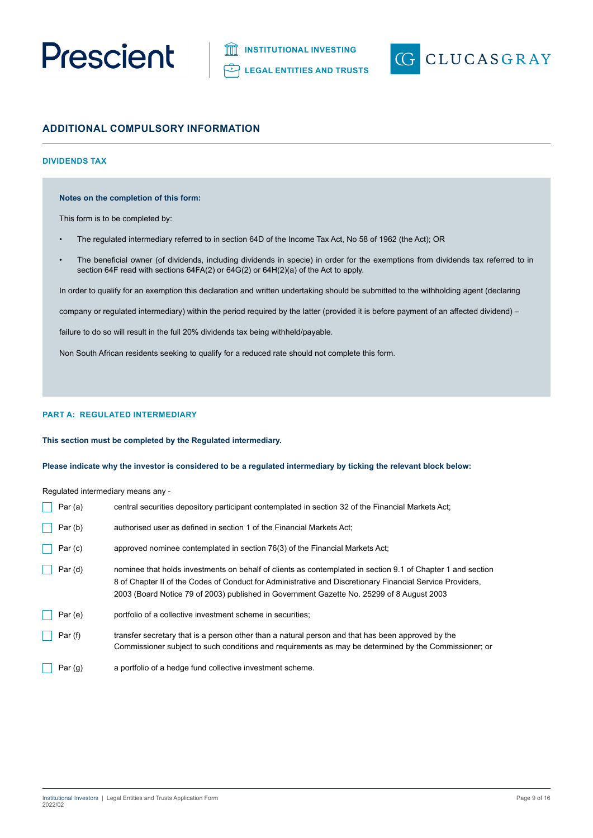



# **ADDITIONAL COMPULSORY INFORMATION**

## **DIVIDENDS TAX**

**Notes on the completion of this form:**

This form is to be completed by:

- The regulated intermediary referred to in section 64D of the Income Tax Act, No 58 of 1962 (the Act); OR
- The beneficial owner (of dividends, including dividends in specie) in order for the exemptions from dividends tax referred to in section 64F read with sections 64FA(2) or 64G(2) or 64H(2)(a) of the Act to apply.

In order to qualify for an exemption this declaration and written undertaking should be submitted to the withholding agent (declaring

company or regulated intermediary) within the period required by the latter (provided it is before payment of an affected dividend) –

failure to do so will result in the full 20% dividends tax being withheld/payable.

Non South African residents seeking to qualify for a reduced rate should not complete this form.

## **PART A: REGULATED INTERMEDIARY**

**This section must be completed by the Regulated intermediary.** 

**Please indicate why the investor is considered to be a regulated intermediary by ticking the relevant block below:**

Regulated intermediary means any -

| Par $(a)$ | central securities depository participant contemplated in section 32 of the Financial Markets Act;                                                                                                                                                                                                                    |
|-----------|-----------------------------------------------------------------------------------------------------------------------------------------------------------------------------------------------------------------------------------------------------------------------------------------------------------------------|
| Par(b)    | authorised user as defined in section 1 of the Financial Markets Act;                                                                                                                                                                                                                                                 |
| Par(c)    | approved nominee contemplated in section 76(3) of the Financial Markets Act;                                                                                                                                                                                                                                          |
| Par(d)    | nominee that holds investments on behalf of clients as contemplated in section 9.1 of Chapter 1 and section<br>8 of Chapter II of the Codes of Conduct for Administrative and Discretionary Financial Service Providers,<br>2003 (Board Notice 79 of 2003) published in Government Gazette No. 25299 of 8 August 2003 |
| Par(e)    | portfolio of a collective investment scheme in securities;                                                                                                                                                                                                                                                            |
| Par(f)    | transfer secretary that is a person other than a natural person and that has been approved by the<br>Commissioner subject to such conditions and requirements as may be determined by the Commissioner; or                                                                                                            |
| Par $(g)$ | a portfolio of a hedge fund collective investment scheme.                                                                                                                                                                                                                                                             |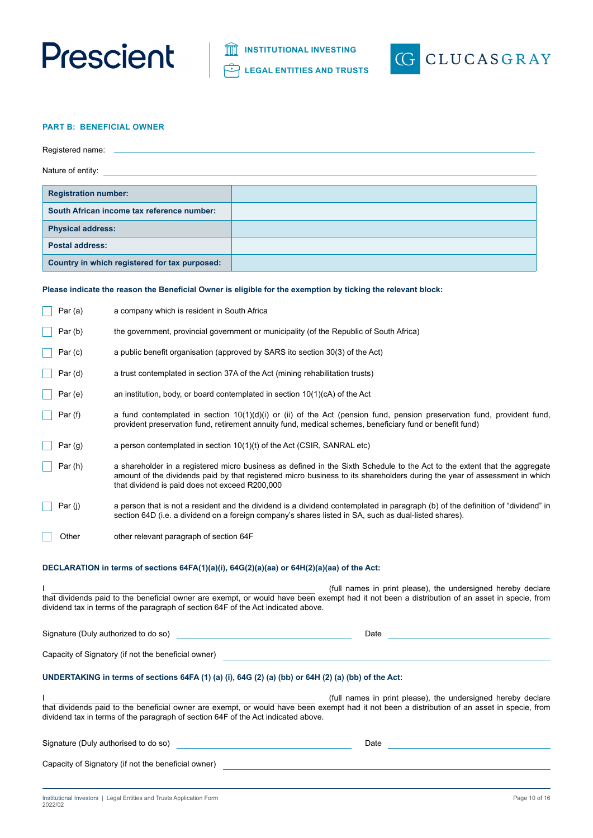



# **PART B: BENEFICIAL OWNER**

| <b>Registration number:</b>                                                                                  |  |  |
|--------------------------------------------------------------------------------------------------------------|--|--|
| South African income tax reference number:                                                                   |  |  |
| <b>Physical address:</b>                                                                                     |  |  |
| <b>Postal address:</b>                                                                                       |  |  |
| Country in which registered for tax purposed:                                                                |  |  |
| Please indicate the reason the Beneficial Owner is eligible for the exemption by ticking the relevant block: |  |  |

| Par (a)                                                                                                                                                                                                                                                                                           | a company which is resident in South Africa                                                                                                                                                                                                                                                              |  |  |
|---------------------------------------------------------------------------------------------------------------------------------------------------------------------------------------------------------------------------------------------------------------------------------------------------|----------------------------------------------------------------------------------------------------------------------------------------------------------------------------------------------------------------------------------------------------------------------------------------------------------|--|--|
| Par (b)                                                                                                                                                                                                                                                                                           | the government, provincial government or municipality (of the Republic of South Africa)                                                                                                                                                                                                                  |  |  |
| Par(c)                                                                                                                                                                                                                                                                                            | a public benefit organisation (approved by SARS ito section 30(3) of the Act)                                                                                                                                                                                                                            |  |  |
| Par (d)                                                                                                                                                                                                                                                                                           | a trust contemplated in section 37A of the Act (mining rehabilitation trusts)                                                                                                                                                                                                                            |  |  |
| Par(e)                                                                                                                                                                                                                                                                                            | an institution, body, or board contemplated in section $10(1)(cA)$ of the Act                                                                                                                                                                                                                            |  |  |
| Par (f)                                                                                                                                                                                                                                                                                           | a fund contemplated in section 10(1)(d)(i) or (ii) of the Act (pension fund, pension preservation fund, provident fund,<br>provident preservation fund, retirement annuity fund, medical schemes, beneficiary fund or benefit fund)                                                                      |  |  |
| Par $(g)$                                                                                                                                                                                                                                                                                         | a person contemplated in section $10(1)(t)$ of the Act (CSIR, SANRAL etc)                                                                                                                                                                                                                                |  |  |
| Par (h)                                                                                                                                                                                                                                                                                           | a shareholder in a registered micro business as defined in the Sixth Schedule to the Act to the extent that the aggregate<br>amount of the dividends paid by that registered micro business to its shareholders during the year of assessment in which<br>that dividend is paid does not exceed R200,000 |  |  |
| Par (j)                                                                                                                                                                                                                                                                                           | a person that is not a resident and the dividend is a dividend contemplated in paragraph (b) of the definition of "dividend" in<br>section 64D (i.e. a dividend on a foreign company's shares listed in SA, such as dual-listed shares).                                                                 |  |  |
| Other                                                                                                                                                                                                                                                                                             | other relevant paragraph of section 64F                                                                                                                                                                                                                                                                  |  |  |
|                                                                                                                                                                                                                                                                                                   | DECLARATION in terms of sections $64FA(1)(a)(i)$ , $64G(2)(a)(aa)$ or $64H(2)(a)(aa)$ of the Act:                                                                                                                                                                                                        |  |  |
| (full names in print please), the undersigned hereby declare<br>that dividends paid to the beneficial owner are exempt, or would have been exempt had it not been a distribution of an asset in specie, from<br>dividend tax in terms of the paragraph of section 64F of the Act indicated above. |                                                                                                                                                                                                                                                                                                          |  |  |
| Signature (Duly authorized to do so)<br>Date                                                                                                                                                                                                                                                      |                                                                                                                                                                                                                                                                                                          |  |  |
| Capacity of Signatory (if not the beneficial owner)                                                                                                                                                                                                                                               |                                                                                                                                                                                                                                                                                                          |  |  |
|                                                                                                                                                                                                                                                                                                   | UNDERTAKING in terms of sections 64FA $(1)$ $(a)$ $(i)$ , 64G $(2)$ $(a)$ $(bb)$ or 64H $(2)$ $(a)$ $(bb)$ of the Act:                                                                                                                                                                                   |  |  |
| (full names in print please), the undersigned hereby declare<br>that dividends paid to the beneficial owner are exempt, or would have been exempt had it not been a distribution of an asset in specie, from<br>dividend tax in terms of the paragraph of section 64F of the Act indicated above. |                                                                                                                                                                                                                                                                                                          |  |  |
| Signature (Duly authorised to do so)<br>Date                                                                                                                                                                                                                                                      |                                                                                                                                                                                                                                                                                                          |  |  |
| Capacity of Signatory (if not the beneficial owner)                                                                                                                                                                                                                                               |                                                                                                                                                                                                                                                                                                          |  |  |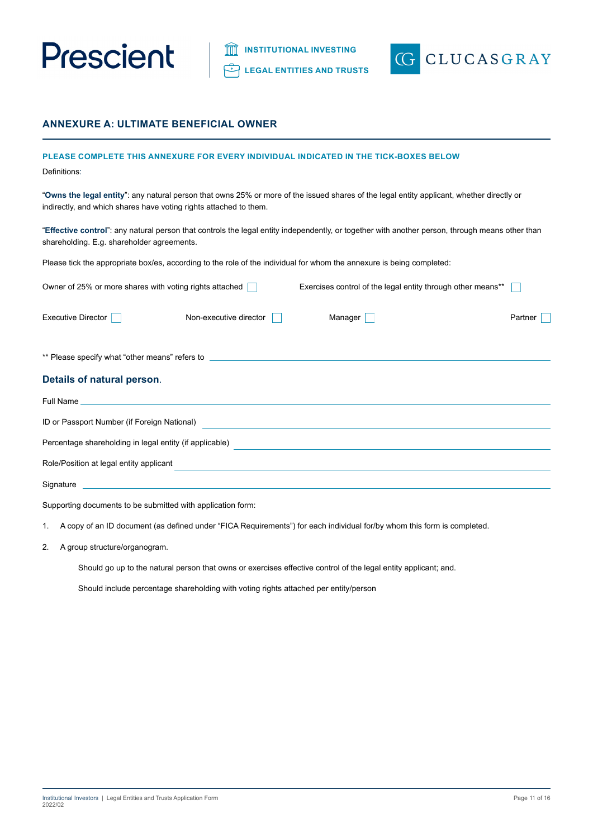



# **ANNEXURE A: ULTIMATE BENEFICIAL OWNER**

# **PLEASE COMPLETE THIS ANNEXURE FOR EVERY INDIVIDUAL INDICATED IN THE TICK-BOXES BELOW**

Definitions:

"**Owns the legal entity**": any natural person that owns 25% or more of the issued shares of the legal entity applicant, whether directly or indirectly, and which shares have voting rights attached to them.

"**Effective control**": any natural person that controls the legal entity independently, or together with another person, through means other than shareholding. E.g. shareholder agreements.

Please tick the appropriate box/es, according to the role of the individual for whom the annexure is being completed:

| Owner of 25% or more shares with voting rights attached |                        | Exercises control of the legal entity through other means** |         |
|---------------------------------------------------------|------------------------|-------------------------------------------------------------|---------|
| Executive Director                                      | Non-executive director | Manager                                                     | Partner |
|                                                         |                        |                                                             |         |
| Details of natural person.                              |                        |                                                             |         |
|                                                         |                        |                                                             |         |
| ID or Passport Number (if Foreign National)             |                        |                                                             |         |
| Percentage shareholding in legal entity (if applicable) |                        |                                                             |         |
| Role/Position at legal entity applicant                 |                        |                                                             |         |
| Signature                                               |                        |                                                             |         |

Supporting documents to be submitted with application form:

1. A copy of an ID document (as defined under "FICA Requirements") for each individual for/by whom this form is completed.

2. A group structure/organogram.

Should go up to the natural person that owns or exercises effective control of the legal entity applicant; and.

Should include percentage shareholding with voting rights attached per entity/person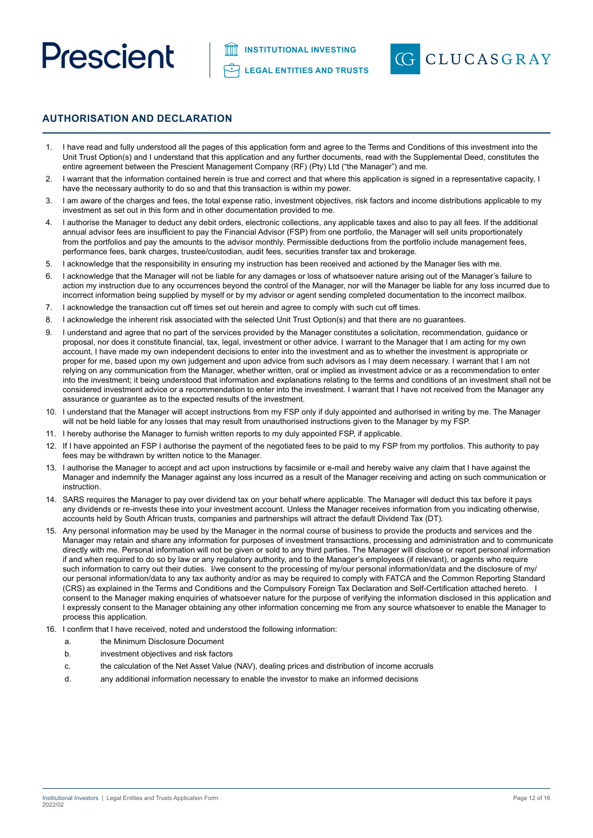

# **AUTHORISATION AND DECLARATION**

- 1. I have read and fully understood all the pages of this application form and agree to the Terms and Conditions of this investment into the Unit Trust Option(s) and I understand that this application and any further documents, read with the Supplemental Deed, constitutes the entire agreement between the Prescient Management Company (RF) (Pty) Ltd ("the Manager") and me.
- 2. I warrant that the information contained herein is true and correct and that where this application is signed in a representative capacity, I have the necessary authority to do so and that this transaction is within my power.
- 3. I am aware of the charges and fees, the total expense ratio, investment objectives, risk factors and income distributions applicable to my investment as set out in this form and in other documentation provided to me.
- 4. I authorise the Manager to deduct any debit orders, electronic collections, any applicable taxes and also to pay all fees. If the additional annual advisor fees are insufficient to pay the Financial Advisor (FSP) from one portfolio, the Manager will sell units proportionately from the portfolios and pay the amounts to the advisor monthly. Permissible deductions from the portfolio include management fees, performance fees, bank charges, trustee/custodian, audit fees, securities transfer tax and brokerage.
- 5. I acknowledge that the responsibility in ensuring my instruction has been received and actioned by the Manager lies with me.
- 6. I acknowledge that the Manager will not be liable for any damages or loss of whatsoever nature arising out of the Manager's failure to action my instruction due to any occurrences beyond the control of the Manager, nor will the Manager be liable for any loss incurred due to incorrect information being supplied by myself or by my advisor or agent sending completed documentation to the incorrect mailbox.
- 7. I acknowledge the transaction cut off times set out herein and agree to comply with such cut off times.
- 8. I acknowledge the inherent risk associated with the selected Unit Trust Option(s) and that there are no guarantees.
- 9. I understand and agree that no part of the services provided by the Manager constitutes a solicitation, recommendation, guidance or proposal, nor does it constitute financial, tax, legal, investment or other advice. I warrant to the Manager that I am acting for my own account, I have made my own independent decisions to enter into the investment and as to whether the investment is appropriate or proper for me, based upon my own judgement and upon advice from such advisors as I may deem necessary. I warrant that I am not relying on any communication from the Manager, whether written, oral or implied as investment advice or as a recommendation to enter into the investment; it being understood that information and explanations relating to the terms and conditions of an investment shall not be considered investment advice or a recommendation to enter into the investment. I warrant that I have not received from the Manager any assurance or guarantee as to the expected results of the investment.
- 10. I understand that the Manager will accept instructions from my FSP only if duly appointed and authorised in writing by me. The Manager will not be held liable for any losses that may result from unauthorised instructions given to the Manager by my FSP.
- 11. I hereby authorise the Manager to furnish written reports to my duly appointed FSP, if applicable.
- 12. If I have appointed an FSP I authorise the payment of the negotiated fees to be paid to my FSP from my portfolios. This authority to pay fees may be withdrawn by written notice to the Manager.
- 13. I authorise the Manager to accept and act upon instructions by facsimile or e-mail and hereby waive any claim that I have against the Manager and indemnify the Manager against any loss incurred as a result of the Manager receiving and acting on such communication or instruction.
- 14. SARS requires the Manager to pay over dividend tax on your behalf where applicable. The Manager will deduct this tax before it pays any dividends or re-invests these into your investment account. Unless the Manager receives information from you indicating otherwise, accounts held by South African trusts, companies and partnerships will attract the default Dividend Tax (DT).
- 15. Any personal information may be used by the Manager in the normal course of business to provide the products and services and the Manager may retain and share any information for purposes of investment transactions, processing and administration and to communicate directly with me. Personal information will not be given or sold to any third parties. The Manager will disclose or report personal information if and when required to do so by law or any regulatory authority, and to the Manager's employees (if relevant), or agents who require such information to carry out their duties. I/we consent to the processing of my/our personal information/data and the disclosure of my/ our personal information/data to any tax authority and/or as may be required to comply with FATCA and the Common Reporting Standard (CRS) as explained in the Terms and Conditions and the Compulsory Foreign Tax Declaration and Self-Certification attached hereto. I consent to the Manager making enquiries of whatsoever nature for the purpose of verifying the information disclosed in this application and I expressly consent to the Manager obtaining any other information concerning me from any source whatsoever to enable the Manager to process this application.
- 16. I confirm that I have received, noted and understood the following information:
	- a. the Minimum Disclosure Document
	- b. investment objectives and risk factors
	- c. the calculation of the Net Asset Value (NAV), dealing prices and distribution of income accruals
	- d. any additional information necessary to enable the investor to make an informed decisions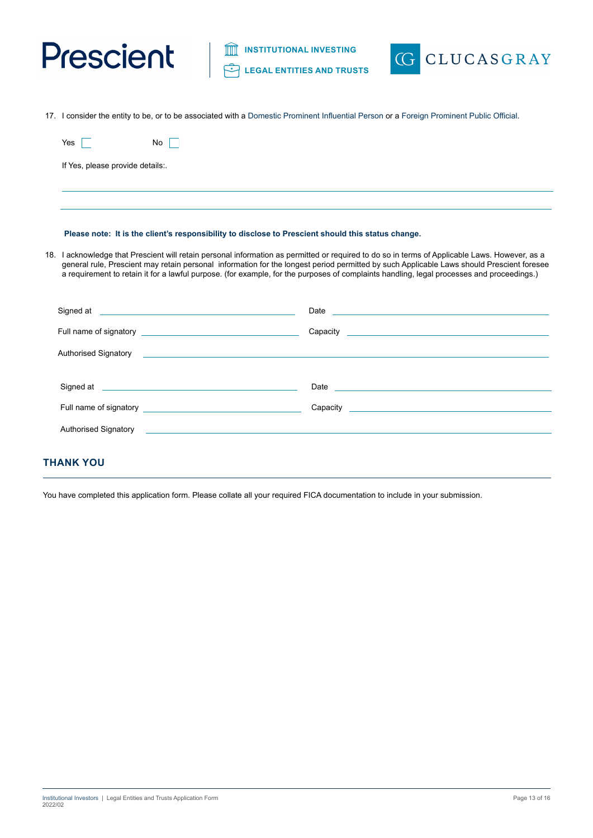



17. I consider the entity to be, or to be associated with a Domestic Prominent Influential Person or a Foreign Prominent Public Official.

| Yes                              | No |  |
|----------------------------------|----|--|
| If Yes, please provide details:. |    |  |
|                                  |    |  |

## **Please note: It is the client's responsibility to disclose to Prescient should this status change.**

18. I acknowledge that Prescient will retain personal information as permitted or required to do so in terms of Applicable Laws. However, as a general rule, Prescient may retain personal information for the longest period permitted by such Applicable Laws should Prescient foresee a requirement to retain it for a lawful purpose. (for example, for the purposes of complaints handling, legal processes and proceedings.)

| Authorised Signatory <b>Contract Contract Contract Contract Contract Contract Contract Contract Contract Contract Contract Contract Contract Contract Contract Contract Contract Contract Contract Contract Contract Contract Co</b> |                            |  |
|--------------------------------------------------------------------------------------------------------------------------------------------------------------------------------------------------------------------------------------|----------------------------|--|
|                                                                                                                                                                                                                                      |                            |  |
| Signed at <u>example and a series of the series of the series of the series of the series of the series of the series of the series of the series of the series of the series of the series of the series of the series of the s</u> |                            |  |
| Full name of signatory <b>Example 20</b> and 20 and 20 and 20 and 20 and 20 and 20 and 20 and 20 and 20 and 20 and 20 and 20 and 20 and 20 and 20 and 20 and 20 and 20 and 20 and 20 and 20 and 20 and 20 and 20 and 20 and 20 and   | Capacity Canadian Capacity |  |
| <b>Authorised Signatory</b><br><u> 1989 - Johann Stoff, deutscher Stoff, der Stoff, der Stoff, der Stoff, der Stoff, der Stoff, der Stoff, der S</u>                                                                                 |                            |  |
|                                                                                                                                                                                                                                      |                            |  |
| <b>ILA NIMAY OLI</b>                                                                                                                                                                                                                 |                            |  |

**THANK YOU**

You have completed this application form. Please collate all your required FICA documentation to include in your submission.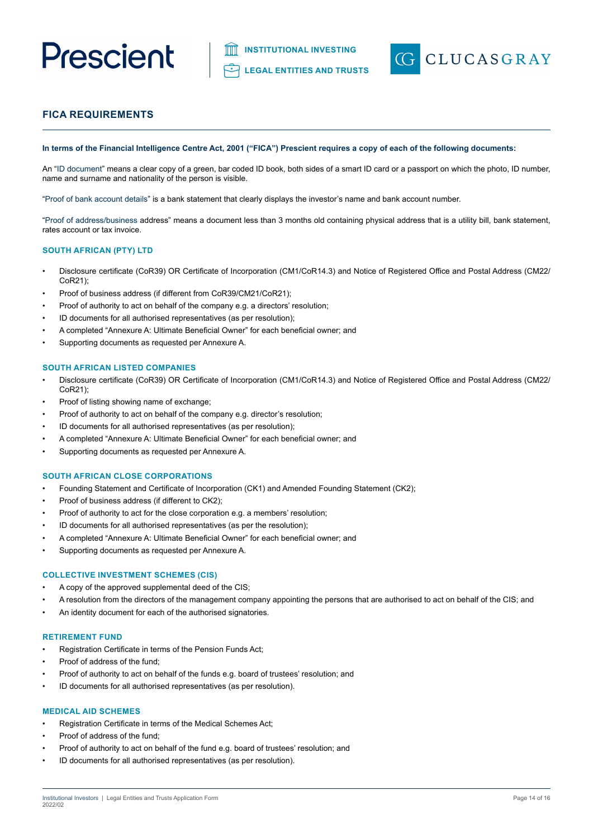

# **FICA REQUIREMENTS**

#### **In terms of the Financial Intelligence Centre Act, 2001 ("FICA") Prescient requires a copy of each of the following documents:**

An "ID document" means a clear copy of a green, bar coded ID book, both sides of a smart ID card or a passport on which the photo, ID number, name and surname and nationality of the person is visible.

"Proof of bank account details" is a bank statement that clearly displays the investor's name and bank account number.

"Proof of address/business address" means a document less than 3 months old containing physical address that is a utility bill, bank statement, rates account or tax invoice.

#### **SOUTH AFRICAN (PTY) LTD**

- Disclosure certificate (CoR39) OR Certificate of Incorporation (CM1/CoR14.3) and Notice of Registered Office and Postal Address (CM22/ CoR21);
- Proof of business address (if different from CoR39/CM21/CoR21);
- Proof of authority to act on behalf of the company e.g. a directors' resolution;
- ID documents for all authorised representatives (as per resolution);
- A completed "Annexure A: Ultimate Beneficial Owner" for each beneficial owner; and
- Supporting documents as requested per Annexure A.

# **SOUTH AFRICAN LISTED COMPANIES**

- Disclosure certificate (CoR39) OR Certificate of Incorporation (CM1/CoR14.3) and Notice of Registered Office and Postal Address (CM22/ CoR21);
- Proof of listing showing name of exchange;
- Proof of authority to act on behalf of the company e.g. director's resolution;
- ID documents for all authorised representatives (as per resolution);
- A completed "Annexure A: Ultimate Beneficial Owner" for each beneficial owner; and
- Supporting documents as requested per Annexure A.

#### **SOUTH AFRICAN CLOSE CORPORATIONS**

- Founding Statement and Certificate of Incorporation (CK1) and Amended Founding Statement (CK2);
- Proof of business address (if different to CK2);
- Proof of authority to act for the close corporation e.g. a members' resolution;
- ID documents for all authorised representatives (as per the resolution);
- A completed "Annexure A: Ultimate Beneficial Owner" for each beneficial owner; and
- Supporting documents as requested per Annexure A.

#### **COLLECTIVE INVESTMENT SCHEMES (CIS)**

- A copy of the approved supplemental deed of the CIS;
- A resolution from the directors of the management company appointing the persons that are authorised to act on behalf of the CIS; and
- An identity document for each of the authorised signatories.

#### **RETIREMENT FUND**

- Registration Certificate in terms of the Pension Funds Act;
- Proof of address of the fund:
- Proof of authority to act on behalf of the funds e.g. board of trustees' resolution; and
- ID documents for all authorised representatives (as per resolution).

#### **MEDICAL AID SCHEMES**

- Registration Certificate in terms of the Medical Schemes Act;
- Proof of address of the fund;
- Proof of authority to act on behalf of the fund e.g. board of trustees' resolution; and
- ID documents for all authorised representatives (as per resolution).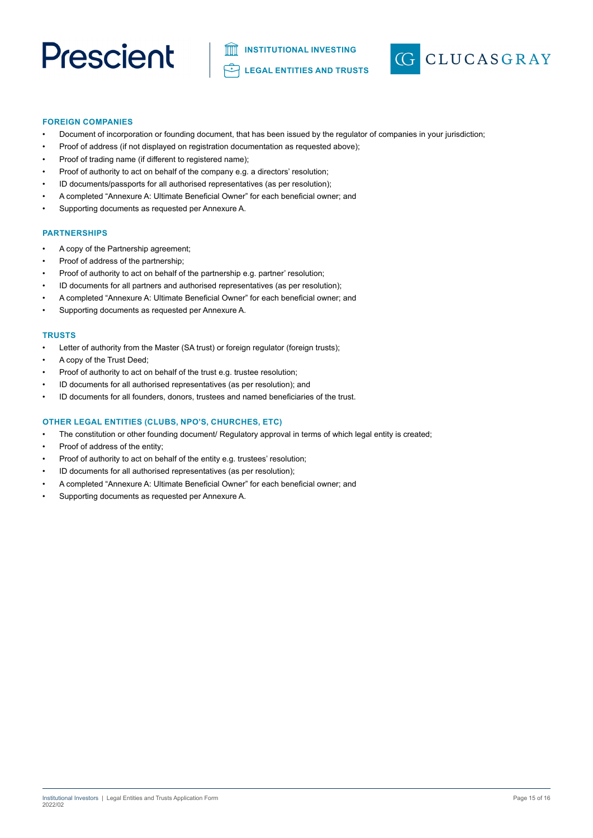

#### **FOREIGN COMPANIES**

- Document of incorporation or founding document, that has been issued by the regulator of companies in your jurisdiction;
- Proof of address (if not displayed on registration documentation as requested above);
- Proof of trading name (if different to registered name);
- Proof of authority to act on behalf of the company e.g. a directors' resolution;
- ID documents/passports for all authorised representatives (as per resolution);
- A completed "Annexure A: Ultimate Beneficial Owner" for each beneficial owner; and
- Supporting documents as requested per Annexure A.

# **PARTNERSHIPS**

- A copy of the Partnership agreement;
- Proof of address of the partnership;
- Proof of authority to act on behalf of the partnership e.g. partner' resolution;
- ID documents for all partners and authorised representatives (as per resolution);
- A completed "Annexure A: Ultimate Beneficial Owner" for each beneficial owner; and
- Supporting documents as requested per Annexure A.

#### **TRUSTS**

- Letter of authority from the Master (SA trust) or foreign regulator (foreign trusts);
- A copy of the Trust Deed;
- Proof of authority to act on behalf of the trust e.g. trustee resolution;
- ID documents for all authorised representatives (as per resolution); and
- ID documents for all founders, donors, trustees and named beneficiaries of the trust.

# **OTHER LEGAL ENTITIES (CLUBS, NPO'S, CHURCHES, ETC)**

- The constitution or other founding document/ Regulatory approval in terms of which legal entity is created;
- Proof of address of the entity;
- Proof of authority to act on behalf of the entity e.g. trustees' resolution;
- ID documents for all authorised representatives (as per resolution);
- A completed "Annexure A: Ultimate Beneficial Owner" for each beneficial owner; and
- Supporting documents as requested per Annexure A.